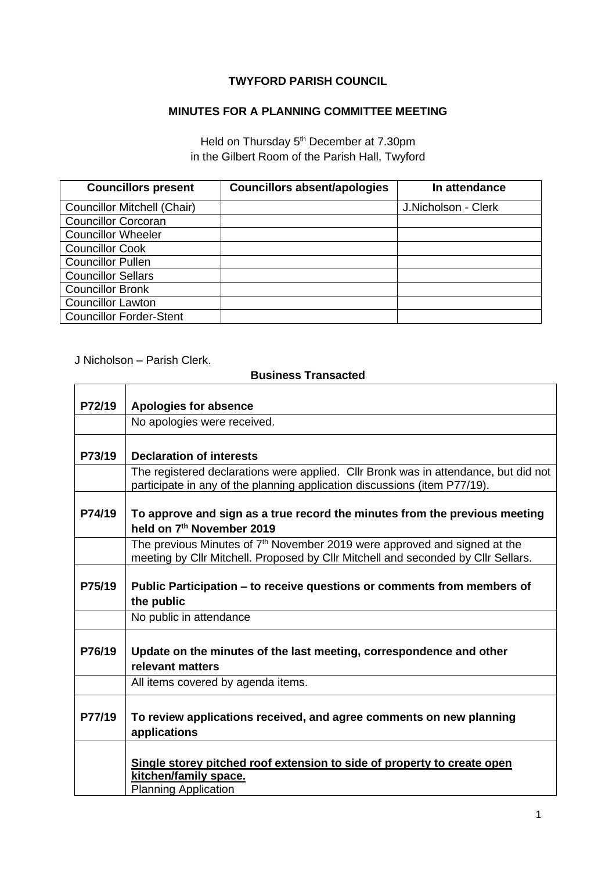## **TWYFORD PARISH COUNCIL**

## **MINUTES FOR A PLANNING COMMITTEE MEETING**

Held on Thursday 5<sup>th</sup> December at 7.30pm in the Gilbert Room of the Parish Hall, Twyford

| <b>Councillors present</b>         | <b>Councillors absent/apologies</b> | In attendance       |
|------------------------------------|-------------------------------------|---------------------|
| <b>Councillor Mitchell (Chair)</b> |                                     | J.Nicholson - Clerk |
| <b>Councillor Corcoran</b>         |                                     |                     |
| <b>Councillor Wheeler</b>          |                                     |                     |
| <b>Councillor Cook</b>             |                                     |                     |
| <b>Councillor Pullen</b>           |                                     |                     |
| <b>Councillor Sellars</b>          |                                     |                     |
| <b>Councillor Bronk</b>            |                                     |                     |
| <b>Councillor Lawton</b>           |                                     |                     |
| <b>Councillor Forder-Stent</b>     |                                     |                     |

J Nicholson – Parish Clerk.

 $\mathbf{r}$ 

## **Business Transacted**

| P72/19 | <b>Apologies for absence</b>                                                                                                                                     |  |
|--------|------------------------------------------------------------------------------------------------------------------------------------------------------------------|--|
|        | No apologies were received.                                                                                                                                      |  |
| P73/19 | <b>Declaration of interests</b>                                                                                                                                  |  |
|        | The registered declarations were applied. Cllr Bronk was in attendance, but did not<br>participate in any of the planning application discussions (item P77/19). |  |
| P74/19 | To approve and sign as a true record the minutes from the previous meeting<br>held on 7 <sup>th</sup> November 2019                                              |  |
|        | The previous Minutes of $7th$ November 2019 were approved and signed at the<br>meeting by Cllr Mitchell. Proposed by Cllr Mitchell and seconded by Cllr Sellars. |  |
| P75/19 | Public Participation – to receive questions or comments from members of<br>the public                                                                            |  |
|        | No public in attendance                                                                                                                                          |  |
| P76/19 | Update on the minutes of the last meeting, correspondence and other<br>relevant matters                                                                          |  |
|        | All items covered by agenda items.                                                                                                                               |  |
| P77/19 | To review applications received, and agree comments on new planning<br>applications                                                                              |  |
|        | Single storey pitched roof extension to side of property to create open<br>kitchen/family space.<br><b>Planning Application</b>                                  |  |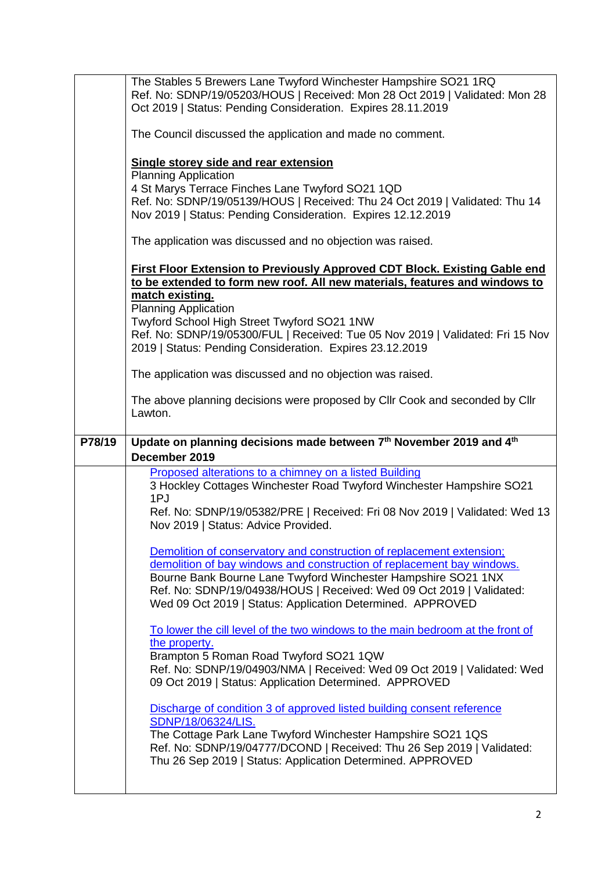|        | The Stables 5 Brewers Lane Twyford Winchester Hampshire SO21 1RQ<br>Ref. No: SDNP/19/05203/HOUS   Received: Mon 28 Oct 2019   Validated: Mon 28<br>Oct 2019   Status: Pending Consideration. Expires 28.11.2019          |
|--------|--------------------------------------------------------------------------------------------------------------------------------------------------------------------------------------------------------------------------|
|        | The Council discussed the application and made no comment.                                                                                                                                                               |
|        | <b>Single storey side and rear extension</b><br><b>Planning Application</b>                                                                                                                                              |
|        | 4 St Marys Terrace Finches Lane Twyford SO21 1QD                                                                                                                                                                         |
|        | Ref. No: SDNP/19/05139/HOUS   Received: Thu 24 Oct 2019   Validated: Thu 14<br>Nov 2019   Status: Pending Consideration. Expires 12.12.2019                                                                              |
|        | The application was discussed and no objection was raised.                                                                                                                                                               |
|        | <b>First Floor Extension to Previously Approved CDT Block. Existing Gable end</b><br>to be extended to form new roof. All new materials, features and windows to<br>match existing.                                      |
|        | <b>Planning Application</b>                                                                                                                                                                                              |
|        | Twyford School High Street Twyford SO21 1NW<br>Ref. No: SDNP/19/05300/FUL   Received: Tue 05 Nov 2019   Validated: Fri 15 Nov<br>2019   Status: Pending Consideration. Expires 23.12.2019                                |
|        | The application was discussed and no objection was raised.                                                                                                                                                               |
|        | The above planning decisions were proposed by Cllr Cook and seconded by Cllr<br>Lawton.                                                                                                                                  |
|        |                                                                                                                                                                                                                          |
| P78/19 | Update on planning decisions made between 7th November 2019 and 4th                                                                                                                                                      |
|        | December 2019                                                                                                                                                                                                            |
|        | Proposed alterations to a chimney on a listed Building<br>3 Hockley Cottages Winchester Road Twyford Winchester Hampshire SO21<br>1PJ                                                                                    |
|        | Ref. No: SDNP/19/05382/PRE   Received: Fri 08 Nov 2019   Validated: Wed 13<br>Nov 2019   Status: Advice Provided.                                                                                                        |
|        | Demolition of conservatory and construction of replacement extension;                                                                                                                                                    |
|        | demolition of bay windows and construction of replacement bay windows.                                                                                                                                                   |
|        | Bourne Bank Bourne Lane Twyford Winchester Hampshire SO21 1NX<br>Ref. No: SDNP/19/04938/HOUS   Received: Wed 09 Oct 2019   Validated:<br>Wed 09 Oct 2019   Status: Application Determined. APPROVED                      |
|        | To lower the cill level of the two windows to the main bedroom at the front of                                                                                                                                           |
|        | the property.<br>Brampton 5 Roman Road Twyford SO21 1QW                                                                                                                                                                  |
|        | Ref. No: SDNP/19/04903/NMA   Received: Wed 09 Oct 2019   Validated: Wed<br>09 Oct 2019   Status: Application Determined. APPROVED                                                                                        |
|        | Discharge of condition 3 of approved listed building consent reference                                                                                                                                                   |
|        | SDNP/18/06324/LIS.<br>The Cottage Park Lane Twyford Winchester Hampshire SO21 1QS<br>Ref. No: SDNP/19/04777/DCOND   Received: Thu 26 Sep 2019   Validated:<br>Thu 26 Sep 2019   Status: Application Determined. APPROVED |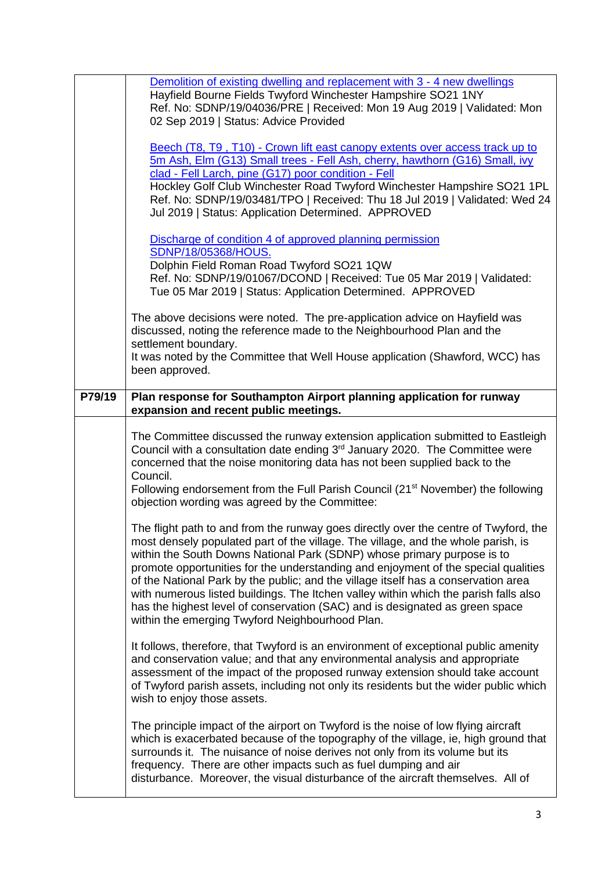|        | Demolition of existing dwelling and replacement with 3 - 4 new dwellings<br>Hayfield Bourne Fields Twyford Winchester Hampshire SO21 1NY<br>Ref. No: SDNP/19/04036/PRE   Received: Mon 19 Aug 2019   Validated: Mon<br>02 Sep 2019   Status: Advice Provided                                                                                                                                                                                                                                                                                                                                                                                                |
|--------|-------------------------------------------------------------------------------------------------------------------------------------------------------------------------------------------------------------------------------------------------------------------------------------------------------------------------------------------------------------------------------------------------------------------------------------------------------------------------------------------------------------------------------------------------------------------------------------------------------------------------------------------------------------|
|        | Beech (T8, T9, T10) - Crown lift east canopy extents over access track up to<br>5m Ash, Elm (G13) Small trees - Fell Ash, cherry, hawthorn (G16) Small, ivy<br>clad - Fell Larch, pine (G17) poor condition - Fell<br>Hockley Golf Club Winchester Road Twyford Winchester Hampshire SO21 1PL<br>Ref. No: SDNP/19/03481/TPO   Received: Thu 18 Jul 2019   Validated: Wed 24<br>Jul 2019   Status: Application Determined. APPROVED                                                                                                                                                                                                                          |
|        | Discharge of condition 4 of approved planning permission<br><b>SDNP/18/05368/HOUS.</b><br>Dolphin Field Roman Road Twyford SO21 1QW<br>Ref. No: SDNP/19/01067/DCOND   Received: Tue 05 Mar 2019   Validated:<br>Tue 05 Mar 2019   Status: Application Determined. APPROVED                                                                                                                                                                                                                                                                                                                                                                                  |
|        | The above decisions were noted. The pre-application advice on Hayfield was<br>discussed, noting the reference made to the Neighbourhood Plan and the<br>settlement boundary.<br>It was noted by the Committee that Well House application (Shawford, WCC) has<br>been approved.                                                                                                                                                                                                                                                                                                                                                                             |
| P79/19 | Plan response for Southampton Airport planning application for runway<br>expansion and recent public meetings.                                                                                                                                                                                                                                                                                                                                                                                                                                                                                                                                              |
|        | The Committee discussed the runway extension application submitted to Eastleigh<br>Council with a consultation date ending 3 <sup>rd</sup> January 2020. The Committee were<br>concerned that the noise monitoring data has not been supplied back to the<br>Council.<br>Following endorsement from the Full Parish Council (21 <sup>st</sup> November) the following<br>objection wording was agreed by the Committee:                                                                                                                                                                                                                                     |
|        | The flight path to and from the runway goes directly over the centre of Twyford, the<br>most densely populated part of the village. The village, and the whole parish, is<br>within the South Downs National Park (SDNP) whose primary purpose is to<br>promote opportunities for the understanding and enjoyment of the special qualities<br>of the National Park by the public; and the village itself has a conservation area<br>with numerous listed buildings. The Itchen valley within which the parish falls also<br>has the highest level of conservation (SAC) and is designated as green space<br>within the emerging Twyford Neighbourhood Plan. |
|        | It follows, therefore, that Twyford is an environment of exceptional public amenity<br>and conservation value; and that any environmental analysis and appropriate<br>assessment of the impact of the proposed runway extension should take account<br>of Twyford parish assets, including not only its residents but the wider public which<br>wish to enjoy those assets.                                                                                                                                                                                                                                                                                 |
|        | The principle impact of the airport on Twyford is the noise of low flying aircraft<br>which is exacerbated because of the topography of the village, ie, high ground that<br>surrounds it. The nuisance of noise derives not only from its volume but its<br>frequency. There are other impacts such as fuel dumping and air<br>disturbance. Moreover, the visual disturbance of the aircraft themselves. All of                                                                                                                                                                                                                                            |